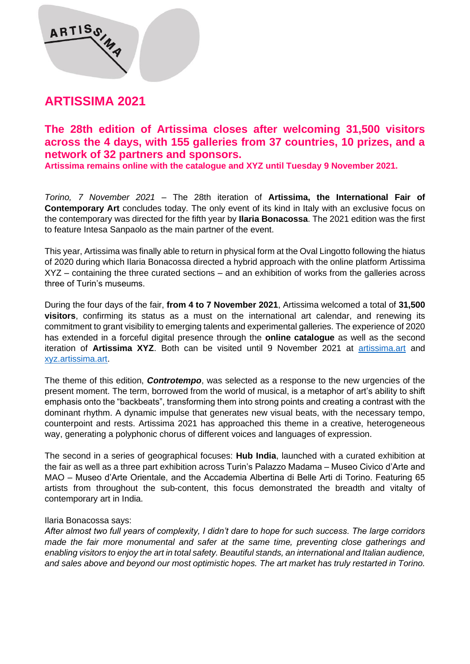## **ARTISSIMA 2021**

ARTISS W

## **The 28th edition of Artissima closes after welcoming 31,500 visitors across the 4 days, with 155 galleries from 37 countries, 10 prizes, and a network of 32 partners and sponsors.**

**Artissima remains online with the catalogue and XYZ until Tuesday 9 November 2021.**

*Torino, 7 November 2021* – The 28th iteration of **Artissima, the International Fair of Contemporary Art** concludes today. The only event of its kind in Italy with an exclusive focus on the contemporary was directed for the fifth year by **Ilaria Bonacossa**. The 2021 edition was the first to feature Intesa Sanpaolo as the main partner of the event.

This year, Artissima was finally able to return in physical form at the Oval Lingotto following the hiatus of 2020 during which Ilaria Bonacossa directed a hybrid approach with the online platform Artissima XYZ – containing the three curated sections – and an exhibition of works from the galleries across three of Turin's museums.

During the four days of the fair, **from 4 to 7 November 2021**, Artissima welcomed a total of **31,500 visitors**, confirming its status as a must on the international art calendar, and renewing its commitment to grant visibility to emerging talents and experimental galleries. The experience of 2020 has extended in a forceful digital presence through the **online catalogue** as well as the second iteration of **Artissima XYZ**. Both can be visited until 9 November 2021 at [artissima.art](https://www.artissima.art/) and [xyz.artissima.art.](https://xyz.artissima.art/)

The theme of this edition, *Controtempo*, was selected as a response to the new urgencies of the present moment. The term, borrowed from the world of musical, is a metaphor of art's ability to shift emphasis onto the "backbeats", transforming them into strong points and creating a contrast with the dominant rhythm. A dynamic impulse that generates new visual beats, with the necessary tempo, counterpoint and rests. Artissima 2021 has approached this theme in a creative, heterogeneous way, generating a polyphonic chorus of different voices and languages of expression.

The second in a series of geographical focuses: **Hub India**, launched with a curated exhibition at the fair as well as a three part exhibition across Turin's Palazzo Madama – Museo Civico d'Arte and MAO – Museo d'Arte Orientale, and the Accademia Albertina di Belle Arti di Torino. Featuring 65 artists from throughout the sub-content, this focus demonstrated the breadth and vitalty of contemporary art in India.

#### Ilaria Bonacossa says:

*After almost two full years of complexity, I didn't dare to hope for such success. The large corridors made the fair more monumental and safer at the same time, preventing close gatherings and enabling visitors to enjoy the art in total safety. Beautiful stands, an international and Italian audience, and sales above and beyond our most optimistic hopes. The art market has truly restarted in Torino.*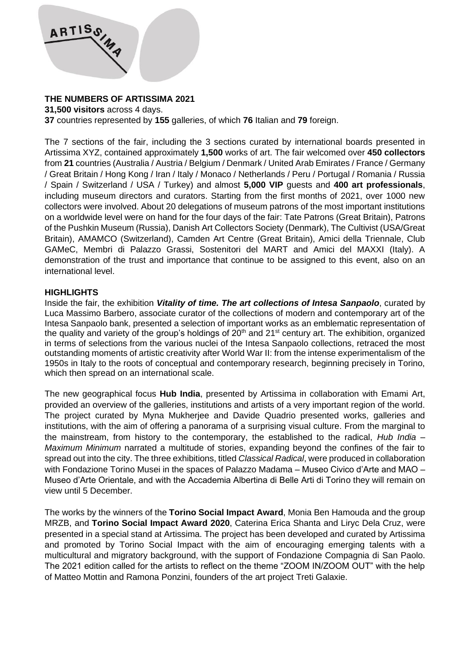

## **THE NUMBERS OF ARTISSIMA 2021**

**31,500 visitors** across 4 days.

**37** countries represented by **155** galleries, of which **76** Italian and **79** foreign.

The 7 sections of the fair, including the 3 sections curated by international boards presented in Artissima XYZ, contained approximately **1,500** works of art. The fair welcomed over **450 collectors** from **21** countries (Australia / Austria / Belgium / Denmark / United Arab Emirates / France / Germany / Great Britain / Hong Kong / Iran / Italy / Monaco / Netherlands / Peru / Portugal / Romania / Russia / Spain / Switzerland / USA / Turkey) and almost **5,000 VIP** guests and **400 art professionals**, including museum directors and curators. Starting from the first months of 2021, over 1000 new collectors were involved. About 20 delegations of museum patrons of the most important institutions on a worldwide level were on hand for the four days of the fair: Tate Patrons (Great Britain), Patrons of the Pushkin Museum (Russia), Danish Art Collectors Society (Denmark), The Cultivist (USA/Great Britain), AMAMCO (Switzerland), Camden Art Centre (Great Britain), Amici della Triennale, Club GAMeC, Membri di Palazzo Grassi, Sostenitori del MART and Amici del MAXXI (Italy). A demonstration of the trust and importance that continue to be assigned to this event, also on an international level.

## **HIGHLIGHTS**

Inside the fair, the exhibition *Vitality of time. The art collections of Intesa Sanpaolo*, curated by Luca Massimo Barbero, associate curator of the collections of modern and contemporary art of the Intesa Sanpaolo bank, presented a selection of important works as an emblematic representation of the quality and variety of the group's holdings of  $20<sup>th</sup>$  and  $21<sup>st</sup>$  century art. The exhibition, organized in terms of selections from the various nuclei of the Intesa Sanpaolo collections, retraced the most outstanding moments of artistic creativity after World War II: from the intense experimentalism of the 1950s in Italy to the roots of conceptual and contemporary research, beginning precisely in Torino, which then spread on an international scale.

The new geographical focus **Hub India**, presented by Artissima in collaboration with Emami Art, provided an overview of the galleries, institutions and artists of a very important region of the world. The project curated by Myna Mukherjee and Davide Quadrio presented works, galleries and institutions, with the aim of offering a panorama of a surprising visual culture. From the marginal to the mainstream, from history to the contemporary, the established to the radical, *Hub India – Maximum Minimum* narrated a multitude of stories, expanding beyond the confines of the fair to spread out into the city. The three exhibitions, titled *Classical Radical*, were produced in collaboration with Fondazione Torino Musei in the spaces of Palazzo Madama – Museo Civico d'Arte and MAO – Museo d'Arte Orientale, and with the Accademia Albertina di Belle Arti di Torino they will remain on view until 5 December.

The works by the winners of the **Torino Social Impact Award**, Monia Ben Hamouda and the group MRZB, and **Torino Social Impact Award 2020**, Caterina Erica Shanta and Liryc Dela Cruz, were presented in a special stand at Artissima. The project has been developed and curated by Artissima and promoted by Torino Social Impact with the aim of encouraging emerging talents with a multicultural and migratory background, with the support of Fondazione Compagnia di San Paolo. The 2021 edition called for the artists to reflect on the theme "ZOOM IN/ZOOM OUT" with the help of Matteo Mottin and Ramona Ponzini, founders of the art project Treti Galaxie.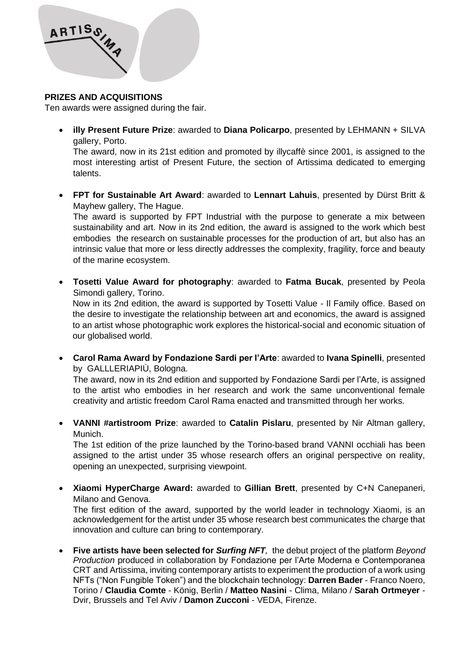

#### **PRIZES AND ACQUISITIONS**

Ten awards were assigned during the fair.

• **illy Present Future Prize**: awarded to **Diana Policarpo**, presented by LEHMANN + SILVA gallery, Porto.

The award, now in its 21st edition and promoted by illycaffè since 2001, is assigned to the most interesting artist of Present Future, the section of Artissima dedicated to emerging talents.

• **FPT for Sustainable Art Award**: awarded to **Lennart Lahuis**, presented by Dürst Britt & Mayhew gallery, The Hague.

The award is supported by FPT Industrial with the purpose to generate a mix between sustainability and art. Now in its 2nd edition, the award is assigned to the work which best embodies the research on sustainable processes for the production of art, but also has an intrinsic value that more or less directly addresses the complexity, fragility, force and beauty of the marine ecosystem.

• **Tosetti Value Award for photography**: awarded to **Fatma Bucak**, presented by Peola Simondi gallery, Torino.

Now in its 2nd edition, the award is supported by Tosetti Value - Il Family office. Based on the desire to investigate the relationship between art and economics, the award is assigned to an artist whose photographic work explores the historical-social and economic situation of our globalised world.

• **Carol Rama Award by Fondazione Sardi per l'Arte**: awarded to **Ivana Spinelli**, presented by GALLLERIAPIÙ, Bologna.

The award, now in its 2nd edition and supported by Fondazione Sardi per l'Arte, is assigned to the artist who embodies in her research and work the same unconventional female creativity and artistic freedom Carol Rama enacted and transmitted through her works.

• **VANNI #artistroom Prize**: awarded to **Catalin Pislaru**, presented by Nir Altman gallery, Munich.

The 1st edition of the prize launched by the Torino-based brand VANNI occhiali has been assigned to the artist under 35 whose research offers an original perspective on reality, opening an unexpected, surprising viewpoint.

• **Xiaomi HyperCharge Award:** awarded to **Gillian Brett**, presented by C+N Canepaneri, Milano and Genova.

The first edition of the award, supported by the world leader in technology Xiaomi, is an acknowledgement for the artist under 35 whose research best communicates the charge that innovation and culture can bring to contemporary.

• **Five artists have been selected for** *Surfing NFT,* the debut project of the platform *Beyond Production* produced in collaboration by Fondazione per l'Arte Moderna e Contemporanea CRT and Artissima, inviting contemporary artists to experiment the production of a work using NFTs ("Non Fungible Token") and the blockchain technology: **Darren Bader** - Franco Noero, Torino / **Claudia Comte** - König, Berlin / **Matteo Nasini** - Clima, Milano / **Sarah Ortmeyer** - Dvir, Brussels and Tel Aviv / **Damon Zucconi** - VEDA, Firenze.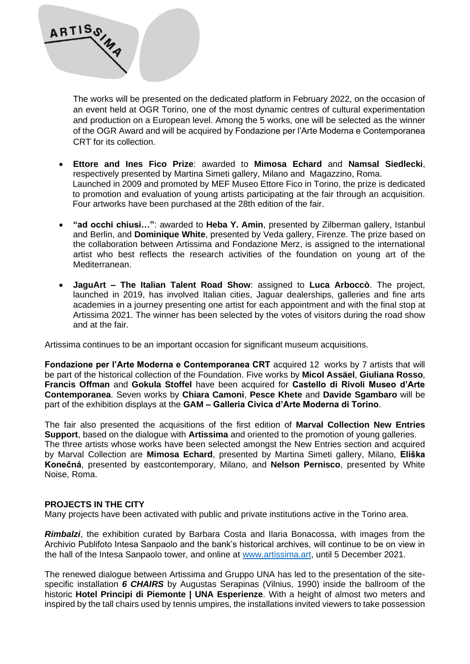

The works will be presented on the dedicated platform in February 2022, on the occasion of an event held at OGR Torino, one of the most dynamic centres of cultural experimentation and production on a European level. Among the 5 works, one will be selected as the winner of the OGR Award and will be acquired by Fondazione per l'Arte Moderna e Contemporanea CRT for its collection.

- **Ettore and Ines Fico Prize**: awarded to **Mimosa Echard** and **Namsal Siedlecki**, respectively presented by Martina Simeti gallery, Milano and Magazzino, Roma. Launched in 2009 and promoted by MEF Museo Ettore Fico in Torino, the prize is dedicated to promotion and evaluation of young artists participating at the fair through an acquisition. Four artworks have been purchased at the 28th edition of the fair.
- **"ad occhi chiusi…"**: awarded to **Heba Y. Amin**, presented by Zilberman gallery, Istanbul and Berlin, and **Dominique White**, presented by Veda gallery, Firenze. The prize based on the collaboration between Artissima and Fondazione Merz, is assigned to the international artist who best reflects the research activities of the foundation on young art of the Mediterranean.
- **JaguArt – The Italian Talent Road Show**: assigned to **Luca Arboccò**. The project, launched in 2019, has involved Italian cities, Jaguar dealerships, galleries and fine arts academies in a journey presenting one artist for each appointment and with the final stop at Artissima 2021. The winner has been selected by the votes of visitors during the road show and at the fair.

Artissima continues to be an important occasion for significant museum acquisitions.

**Fondazione per l'Arte Moderna e Contemporanea CRT** acquired 12 works by 7 artists that will be part of the historical collection of the Foundation. Five works by **Micol Assäel**, **Giuliana Rosso**, **Francis Offman** and **Gokula Stoffel** have been acquired for **Castello di Rivoli Museo d'Arte Contemporanea**. Seven works by **Chiara Camoni**, **Pesce Khete** and **Davide Sgambaro** will be part of the exhibition displays at the **GAM – Galleria Civica d'Arte Moderna di Torino**.

The fair also presented the acquisitions of the first edition of **Marval Collection New Entries Support**, based on the dialogue with **Artissima** and oriented to the promotion of young galleries. The three artists whose works have been selected amongst the New Entries section and acquired by Marval Collection are **Mimosa Echard**, presented by Martina Simeti gallery, Milano, **Eliška Konečná**, presented by eastcontemporary, Milano, and **Nelson Pernisco**, presented by White Noise, Roma.

## **PROJECTS IN THE CITY**

Many projects have been activated with public and private institutions active in the Torino area.

*Rimbalzi*, the exhibition curated by Barbara Costa and Ilaria Bonacossa, with images from the Archivio Publifoto Intesa Sanpaolo and the bank's historical archives, will continue to be on view in the hall of the Intesa Sanpaolo tower, and online at [www.artissima.art,](http://www.artissima.art/) until 5 December 2021.

The renewed dialogue between Artissima and Gruppo UNA has led to the presentation of the sitespecific installation *6 CHAIRS* by Augustas Serapinas (Vilnius, 1990) inside the ballroom of the historic **Hotel Principi di Piemonte | UNA Esperienze**. With a height of almost two meters and inspired by the tall chairs used by tennis umpires, the installations invited viewers to take possession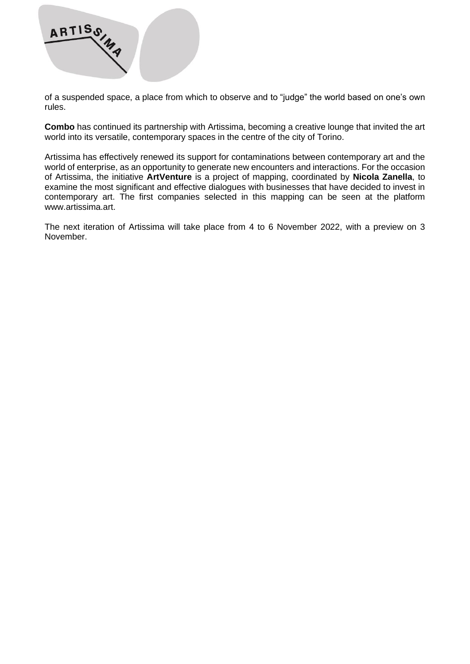

of a suspended space, a place from which to observe and to "judge" the world based on one's own rules.

**Combo** has continued its partnership with Artissima, becoming a creative lounge that invited the art world into its versatile, contemporary spaces in the centre of the city of Torino.

Artissima has effectively renewed its support for contaminations between contemporary art and the world of enterprise, as an opportunity to generate new encounters and interactions. For the occasion of Artissima, the initiative **ArtVenture** is a project of mapping, coordinated by **Nicola Zanella**, to examine the most significant and effective dialogues with businesses that have decided to invest in contemporary art. The first companies selected in this mapping can be seen at the platform www.artissima.art.

The next iteration of Artissima will take place from 4 to 6 November 2022, with a preview on 3 November.